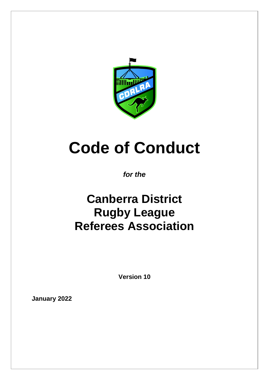

# **Code of Conduct**

### *for the*

## **Canberra District Rugby League Referees Association**

**Version 10**

**January 2022**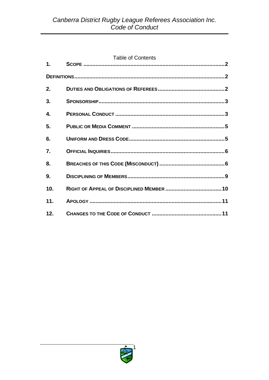#### **Table of Contents**

| 2.  |  |  |
|-----|--|--|
| 3.  |  |  |
| 4.  |  |  |
| 5.  |  |  |
| 6.  |  |  |
| 7.  |  |  |
| 8.  |  |  |
| 9.  |  |  |
| 10. |  |  |
| 11. |  |  |
| 12. |  |  |

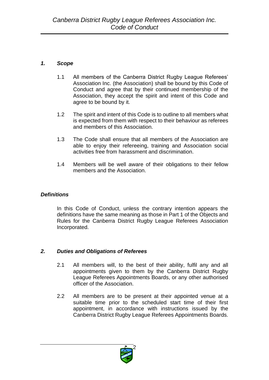#### *1. Scope*

- 1.1 All members of the Canberra District Rugby League Referees' Association Inc. (the Association) shall be bound by this Code of Conduct and agree that by their continued membership of the Association, they accept the spirit and intent of this Code and agree to be bound by it.
- 1.2 The spirit and intent of this Code is to outline to all members what is expected from them with respect to their behaviour as referees and members of this Association.
- 1.3 The Code shall ensure that all members of the Association are able to enjoy their refereeing, training and Association social activities free from harassment and discrimination.
- 1.4 Members will be well aware of their obligations to their fellow members and the Association.

#### *Definitions*

In this Code of Conduct, unless the contrary intention appears the definitions have the same meaning as those in Part 1 of the Objects and Rules for the Canberra District Rugby League Referees Association Incorporated.

#### *2. Duties and Obligations of Referees*

- 2.1 All members will, to the best of their ability, fulfil any and all appointments given to them by the Canberra District Rugby League Referees Appointments Boards, or any other authorised officer of the Association.
- 2.2 All members are to be present at their appointed venue at a suitable time prior to the scheduled start time of their first appointment, in accordance with instructions issued by the Canberra District Rugby League Referees Appointments Boards.

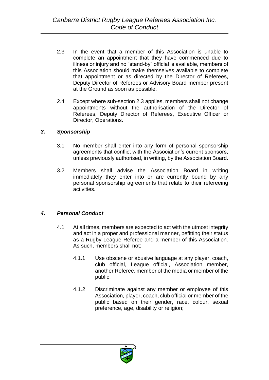- 2.3 In the event that a member of this Association is unable to complete an appointment that they have commenced due to illness or injury and no "stand-by" official is available, members of this Association should make themselves available to complete that appointment or as directed by the Director of Referees, Deputy Director of Referees or Advisory Board member present at the Ground as soon as possible.
- 2.4 Except where sub-section 2.3 applies, members shall not change appointments without the authorisation of the Director of Referees, Deputy Director of Referees, Executive Officer or Director, Operations.

#### *3. Sponsorship*

- 3.1 No member shall enter into any form of personal sponsorship agreements that conflict with the Association's current sponsors, unless previously authorised, in writing, by the Association Board.
- 3.2 Members shall advise the Association Board in writing immediately they enter into or are currently bound by any personal sponsorship agreements that relate to their refereeing activities.

#### *4. Personal Conduct*

- 4.1 At all times, members are expected to act with the utmost integrity and act in a proper and professional manner, befitting their status as a Rugby League Referee and a member of this Association. As such, members shall not:
	- 4.1.1 Use obscene or abusive language at any player, coach, club official, League official, Association member, another Referee, member of the media or member of the public;
	- 4.1.2 Discriminate against any member or employee of this Association, player, coach, club official or member of the public based on their gender, race, colour, sexual preference, age, disability or religion;

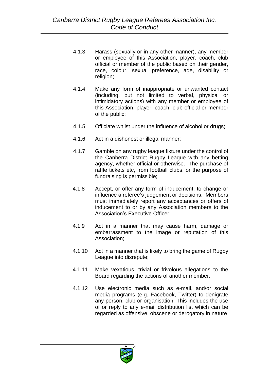- 4.1.3 Harass (sexually or in any other manner), any member or employee of this Association, player, coach, club official or member of the public based on their gender, race, colour, sexual preference, age, disability or religion;
- 4.1.4 Make any form of inappropriate or unwanted contact (including, but not limited to verbal, physical or intimidatory actions) with any member or employee of this Association, player, coach, club official or member of the public;
- 4.1.5 Officiate whilst under the influence of alcohol or drugs;
- 4.1.6 Act in a dishonest or illegal manner;
- 4.1.7 Gamble on any rugby league fixture under the control of the Canberra District Rugby League with any betting agency, whether official or otherwise. The purchase of raffle tickets etc, from football clubs, or the purpose of fundraising is permissible;
- 4.1.8 Accept, or offer any form of inducement, to change or influence a referee's judgement or decisions. Members must immediately report any acceptances or offers of inducement to or by any Association members to the Association's Executive Officer;
- 4.1.9 Act in a manner that may cause harm, damage or embarrassment to the image or reputation of this Association;
- 4.1.10 Act in a manner that is likely to bring the game of Rugby League into disrepute;
- 4.1.11 Make vexatious, trivial or frivolous allegations to the Board regarding the actions of another member.
- 4.1.12 Use electronic media such as e-mail, and/or social media programs (e.g. Facebook, Twitter) to denigrate any person, club or organisation. This includes the use of or reply to any e-mail distribution list which can be regarded as offensive, obscene or derogatory in nature

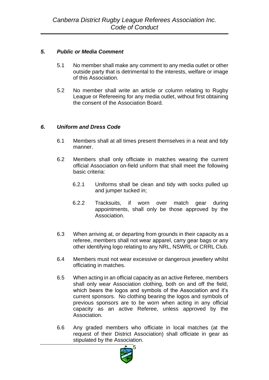#### *5. Public or Media Comment*

- 5.1 No member shall make any comment to any media outlet or other outside party that is detrimental to the interests, welfare or image of this Association.
- 5.2 No member shall write an article or column relating to Rugby League or Refereeing for any media outlet, without first obtaining the consent of the Association Board.

#### *6. Uniform and Dress Code*

- 6.1 Members shall at all times present themselves in a neat and tidy manner.
- 6.2 Members shall only officiate in matches wearing the current official Association on-field uniform that shall meet the following basic criteria:
	- 6.2.1 Uniforms shall be clean and tidy with socks pulled up and jumper tucked in;
	- 6.2.2 Tracksuits, if worn over match gear during appointments, shall only be those approved by the Association.
- 6.3 When arriving at, or departing from grounds in their capacity as a referee, members shall not wear apparel, carry gear bags or any other identifying logo relating to any NRL, NSWRL or CRRL Club.
- 6.4 Members must not wear excessive or dangerous jewellery whilst officiating in matches.
- 6.5 When acting in an official capacity as an active Referee, members shall only wear Association clothing, both on and off the field, which bears the logos and symbols of the Association and it's current sponsors. No clothing bearing the logos and symbols of previous sponsors are to be worn when acting in any official capacity as an active Referee, unless approved by the Association.
- 6.6 Any graded members who officiate in local matches (at the request of their District Association) shall officiate in gear as stipulated by the Association.

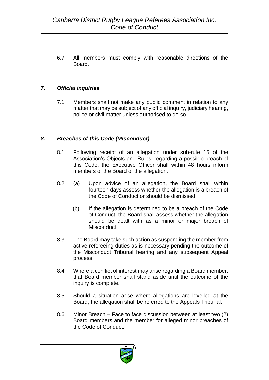6.7 All members must comply with reasonable directions of the Board.

#### *7. Official Inquiries*

7.1 Members shall not make any public comment in relation to any matter that may be subject of any official inquiry, judiciary hearing, police or civil matter unless authorised to do so.

#### *8. Breaches of this Code (Misconduct)*

- 8.1 Following receipt of an allegation under sub-rule 15 of the Association's Objects and Rules, regarding a possible breach of this Code, the Executive Officer shall within 48 hours inform members of the Board of the allegation.
- 8.2 (a) Upon advice of an allegation, the Board shall within fourteen days assess whether the allegation is a breach of the Code of Conduct or should be dismissed.
	- (b) If the allegation is determined to be a breach of the Code of Conduct, the Board shall assess whether the allegation should be dealt with as a minor or major breach of Misconduct.
- 8.3 The Board may take such action as suspending the member from active refereeing duties as is necessary pending the outcome of the Misconduct Tribunal hearing and any subsequent Appeal process.
- 8.4 Where a conflict of interest may arise regarding a Board member, that Board member shall stand aside until the outcome of the inquiry is complete.
- 8.5 Should a situation arise where allegations are levelled at the Board, the allegation shall be referred to the Appeals Tribunal.
- 8.6 Minor Breach Face to face discussion between at least two (2) Board members and the member for alleged minor breaches of the Code of Conduct.

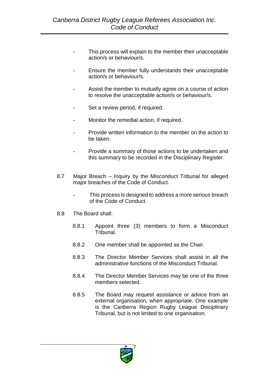- This process will explain to the member their unacceptable action/s or behaviour/s.
- Ensure the member fully understands their unacceptable action/s or behaviour/s.
- Assist the member to mutually agree on a course of action to resolve the unacceptable action/s or behaviour/s.
- Set a review period, if required.
- Monitor the remedial action, if required.
- Provide written information to the member on the action to be taken.
- Provide a summary of those actions to be undertaken and this summary to be recorded in the Disciplinary Register.
- 8.7 Major Breach Inquiry by the Misconduct Tribunal for alleged major breaches of the Code of Conduct.
	- This process is designed to address a more serious breach of the Code of Conduct.
- 8.8 The Board shall:
	- 8.8.1 Appoint three (3) members to form a Misconduct Tribunal.
	- 8.8.2 One member shall be appointed as the Chair.
	- 8.8.3 The Director Member Services shall assist in all the administrative functions of the Misconduct Tribunal.
	- 8.8.4 The Director Member Services may be one of the three members selected.
	- 8.8.5 The Board may request assistance or advice from an external organisation, when appropriate. One example is the Canberra Region Rugby League Disciplinary Tribunal, but is not limited to one organisation.

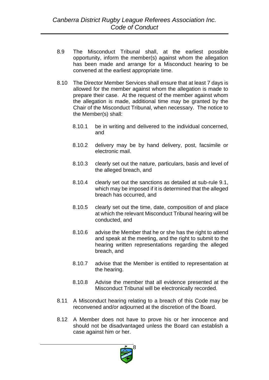- 8.9 The Misconduct Tribunal shall, at the earliest possible opportunity, inform the member(s) against whom the allegation has been made and arrange for a Misconduct hearing to be convened at the earliest appropriate time.
- 8.10 The Director Member Services shall ensure that at least 7 days is allowed for the member against whom the allegation is made to prepare their case. At the request of the member against whom the allegation is made, additional time may be granted by the Chair of the Misconduct Tribunal, when necessary. The notice to the Member(s) shall:
	- 8.10.1 be in writing and delivered to the individual concerned, and
	- 8.10.2 delivery may be by hand delivery, post, facsimile or electronic mail.
	- 8.10.3 clearly set out the nature, particulars, basis and level of the alleged breach, and
	- 8.10.4 clearly set out the sanctions as detailed at sub-rule 9.1, which may be imposed if it is determined that the alleged breach has occurred, and
	- 8.10.5 clearly set out the time, date, composition of and place at which the relevant Misconduct Tribunal hearing will be conducted, and
	- 8.10.6 advise the Member that he or she has the right to attend and speak at the meeting, and the right to submit to the hearing written representations regarding the alleged breach, and
	- 8.10.7 advise that the Member is entitled to representation at the hearing.
	- 8.10.8 Advise the member that all evidence presented at the Misconduct Tribunal will be electronically recorded.
- 8.11 A Misconduct hearing relating to a breach of this Code may be reconvened and/or adjourned at the discretion of the Board.
- 8.12 A Member does not have to prove his or her innocence and should not be disadvantaged unless the Board can establish a case against him or her.

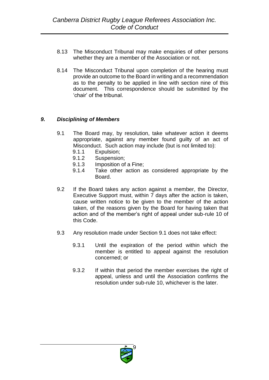- 8.13 The Misconduct Tribunal may make enquiries of other persons whether they are a member of the Association or not.
- 8.14 The Misconduct Tribunal upon completion of the hearing must provide an outcome to the Board in writing and a recommendation as to the penalty to be applied in line with section nine of this document. This correspondence should be submitted by the 'chair' of the tribunal.

#### *9. Disciplining of Members*

- 9.1 The Board may, by resolution, take whatever action it deems appropriate, against any member found guilty of an act of Misconduct. Such action may include (but is not limited to):
	- 9.1.1 Expulsion;
	- 9.1.2 Suspension;
	- 9.1.3 Imposition of a Fine;
	- 9.1.4 Take other action as considered appropriate by the Board.
- 9.2 If the Board takes any action against a member, the Director, Executive Support must, within 7 days after the action is taken, cause written notice to be given to the member of the action taken, of the reasons given by the Board for having taken that action and of the member's right of appeal under sub-rule 10 of this Code.
- 9.3 Any resolution made under Section 9.1 does not take effect:
	- 9.3.1 Until the expiration of the period within which the member is entitled to appeal against the resolution concerned; or
	- 9.3.2 If within that period the member exercises the right of appeal, unless and until the Association confirms the resolution under sub-rule 10, whichever is the later.

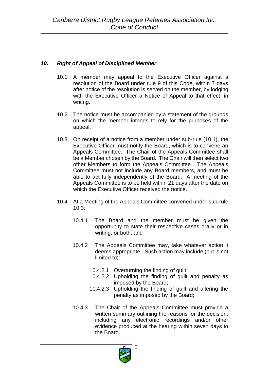#### *10. Right of Appeal of Disciplined Member*

- 10.1 A member may appeal to the Executive Officer against a resolution of the Board under rule 9 of this Code, within 7 days after notice of the resolution is served on the member, by lodging with the Executive Officer a Notice of Appeal to that effect, in writing.
- 10.2 The notice must be accompanied by a statement of the grounds on which the member intends to rely for the purposes of the appeal.
- 10.3 On receipt of a notice from a member under sub-rule (10.1), the Executive Officer must notify the Board, which is to convene an Appeals Committee. The Chair of the Appeals Committee shall be a Member chosen by the Board. The Chair will then select two other Members to form the Appeals Committee. The Appeals Committee must not include any Board members, and must be able to act fully independently of the Board. A meeting of the Appeals Committee is to be held within 21 days after the date on which the Executive Officer received the notice.
- 10.4 At a Meeting of the Appeals Committee convened under sub-rule 10.3:
	- 10.4.1 The Board and the member must be given the opportunity to state their respective cases orally or in writing, or both, and
	- 10.4.2 The Appeals Committee may, take whatever action it deems appropriate. Such action may include (but is not limited to):
		- 10.4.2.1 Overturning the finding of guilt;
		- 10.4.2.2 Upholding the finding of guilt and penalty as imposed by the Board;
		- 10.4.2.3 Upholding the finding of guilt and altering the penalty as imposed by the Board;
	- 10.4.3 The Chair of the Appeals Committee must provide a written summary outlining the reasons for the decision, including any electronic recordings and/or other evidence produced at the hearing within seven days to the Board.